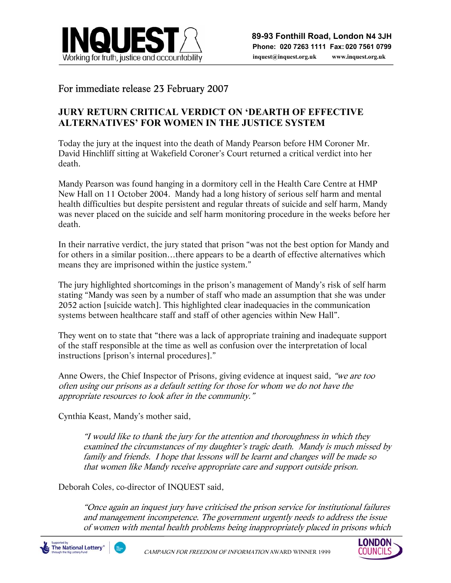

## For immediate release 23 February 2007

## **JURY RETURN CRITICAL VERDICT ON 'DEARTH OF EFFECTIVE ALTERNATIVES' FOR WOMEN IN THE JUSTICE SYSTEM**

Today the jury at the inquest into the death of Mandy Pearson before HM Coroner Mr. David Hinchliff sitting at Wakefield Coroner's Court returned a critical verdict into her death.

Mandy Pearson was found hanging in a dormitory cell in the Health Care Centre at HMP New Hall on 11 October 2004. Mandy had a long history of serious self harm and mental health difficulties but despite persistent and regular threats of suicide and self harm, Mandy was never placed on the suicide and self harm monitoring procedure in the weeks before her death.

In their narrative verdict, the jury stated that prison "was not the best option for Mandy and for others in a similar position…there appears to be a dearth of effective alternatives which means they are imprisoned within the justice system."

The jury highlighted shortcomings in the prison's management of Mandy's risk of self harm stating "Mandy was seen by a number of staff who made an assumption that she was under 2052 action [suicide watch]. This highlighted clear inadequacies in the communication systems between healthcare staff and staff of other agencies within New Hall".

They went on to state that "there was a lack of appropriate training and inadequate support of the staff responsible at the time as well as confusion over the interpretation of local instructions [prison's internal procedures]."

Anne Owers, the Chief Inspector of Prisons, giving evidence at inquest said, "we are too often using our prisons as a default setting for those for whom we do not have the appropriate resources to look after in the community."

Cynthia Keast, Mandy's mother said,

"I would like to thank the jury for the attention and thoroughness in which they examined the circumstances of my daughter's tragic death. Mandy is much missed by family and friends. I hope that lessons will be learnt and changes will be made so that women like Mandy receive appropriate care and support outside prison.

Deborah Coles, co-director of INQUEST said,

"Once again an inquest jury have criticised the prison service for institutional failures and management incompetence. The government urgently needs to address the issue of women with mental health problems being inappropriately placed in prisons which